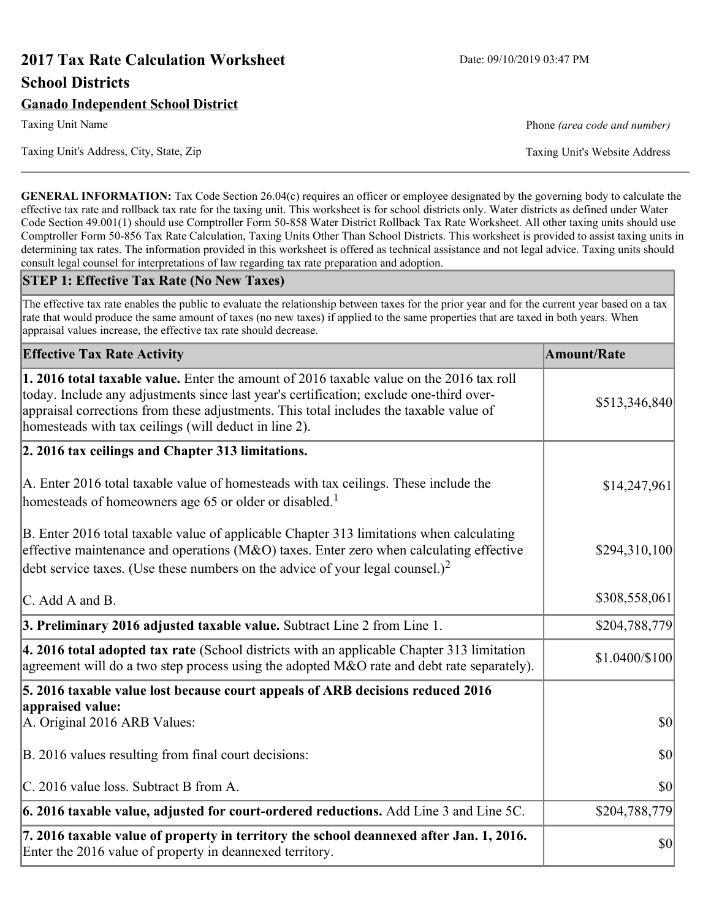# **2017 Tax Rate Calculation Worksheet** Date: 09/10/2019 03:47 PM **School Districts**

Taxing Unit Name **Phone** *(area code and number)* Phone *(area code and number)* 

Taxing Unit's Address, City, State, Zip Taxing Unit's Website Address

**GENERAL INFORMATION:** Tax Code Section 26.04(c) requires an officer or employee designated by the governing body to calculate the effective tax rate and rollback tax rate for the taxing unit. This worksheet is for school districts only. Water districts as defined under Water Code Section 49.001(1) should use Comptroller Form 50-858 Water District Rollback Tax Rate Worksheet. All other taxing units should use Comptroller Form 50-856 Tax Rate Calculation, Taxing Units Other Than School Districts. This worksheet is provided to assist taxing units in determining tax rates. The information provided in this worksheet is offered as technical assistance and not legal advice. Taxing units should consult legal counsel for interpretations of law regarding tax rate preparation and adoption.

#### **STEP 1: Effective Tax Rate (No New Taxes)**

The effective tax rate enables the public to evaluate the relationship between taxes for the prior year and for the current year based on a tax rate that would produce the same amount of taxes (no new taxes) if applied to the same properties that are taxed in both years. When appraisal values increase, the effective tax rate should decrease.

| <b>Effective Tax Rate Activity</b>                                                                                                                                                                                                                                                                                                     | <b>Amount/Rate</b> |
|----------------------------------------------------------------------------------------------------------------------------------------------------------------------------------------------------------------------------------------------------------------------------------------------------------------------------------------|--------------------|
| 1. 2016 total taxable value. Enter the amount of 2016 taxable value on the 2016 tax roll<br>today. Include any adjustments since last year's certification; exclude one-third over-<br>appraisal corrections from these adjustments. This total includes the taxable value of<br>homesteads with tax ceilings (will deduct in line 2). | \$513,346,840      |
| 2. 2016 tax ceilings and Chapter 313 limitations.                                                                                                                                                                                                                                                                                      |                    |
| A. Enter 2016 total taxable value of homesteads with tax ceilings. These include the<br>homesteads of homeowners age 65 or older or disabled. <sup>1</sup>                                                                                                                                                                             | \$14,247,961       |
| B. Enter 2016 total taxable value of applicable Chapter 313 limitations when calculating<br>effective maintenance and operations ( $M&O$ ) taxes. Enter zero when calculating effective<br>debt service taxes. (Use these numbers on the advice of your legal counsel.) <sup>2</sup>                                                   | \$294,310,100      |
| C. Add A and B.                                                                                                                                                                                                                                                                                                                        | \$308,558,061      |
| 3. Preliminary 2016 adjusted taxable value. Subtract Line 2 from Line 1.                                                                                                                                                                                                                                                               | \$204,788,779      |
| 4. 2016 total adopted tax rate (School districts with an applicable Chapter 313 limitation<br>agreement will do a two step process using the adopted M&O rate and debt rate separately).                                                                                                                                               | \$1.0400/\$100     |
| 5. 2016 taxable value lost because court appeals of ARB decisions reduced 2016                                                                                                                                                                                                                                                         |                    |
| appraised value:<br>A. Original 2016 ARB Values:                                                                                                                                                                                                                                                                                       | $ 10\rangle$       |
| B. 2016 values resulting from final court decisions:                                                                                                                                                                                                                                                                                   | $ 10\rangle$       |
| C. 2016 value loss. Subtract B from A.                                                                                                                                                                                                                                                                                                 | \$0                |
| $\vert$ 6. 2016 taxable value, adjusted for court-ordered reductions. Add Line 3 and Line 5C.                                                                                                                                                                                                                                          | \$204,788,779      |
| 7. 2016 taxable value of property in territory the school deannexed after Jan. 1, 2016.<br>Enter the 2016 value of property in deannexed territory.                                                                                                                                                                                    | $ 10\rangle$       |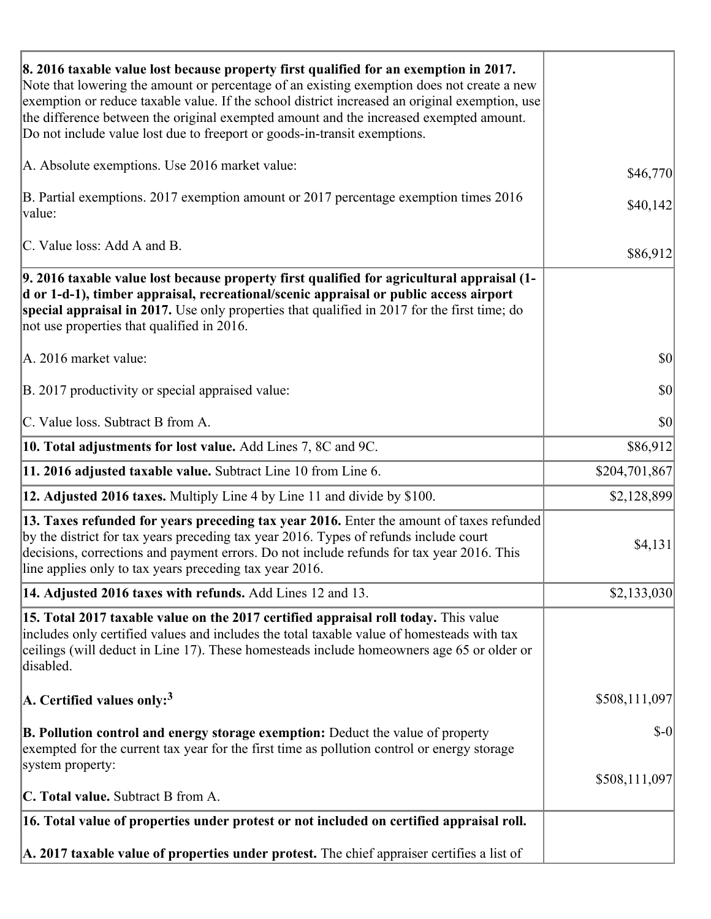| 8. 2016 taxable value lost because property first qualified for an exemption in 2017.<br>Note that lowering the amount or percentage of an existing exemption does not create a new<br>exemption or reduce taxable value. If the school district increased an original exemption, use<br>the difference between the original exempted amount and the increased exempted amount.<br>Do not include value lost due to freeport or goods-in-transit exemptions. |                                     |
|--------------------------------------------------------------------------------------------------------------------------------------------------------------------------------------------------------------------------------------------------------------------------------------------------------------------------------------------------------------------------------------------------------------------------------------------------------------|-------------------------------------|
| A. Absolute exemptions. Use 2016 market value:                                                                                                                                                                                                                                                                                                                                                                                                               | \$46,770                            |
| B. Partial exemptions. 2017 exemption amount or 2017 percentage exemption times 2016<br>value:                                                                                                                                                                                                                                                                                                                                                               | \$40,142                            |
| C. Value loss: Add A and B.                                                                                                                                                                                                                                                                                                                                                                                                                                  | \$86,912                            |
| 9. 2016 taxable value lost because property first qualified for agricultural appraisal (1-<br>d or 1-d-1), timber appraisal, recreational/scenic appraisal or public access airport<br>special appraisal in 2017. Use only properties that qualified in 2017 for the first time; do<br>not use properties that qualified in 2016.                                                                                                                            |                                     |
| A. 2016 market value:                                                                                                                                                                                                                                                                                                                                                                                                                                        | $ 10\rangle$                        |
| B. 2017 productivity or special appraised value:                                                                                                                                                                                                                                                                                                                                                                                                             | \$0                                 |
| C. Value loss. Subtract B from A.                                                                                                                                                                                                                                                                                                                                                                                                                            | $\vert \mathbf{S} \mathbf{O} \vert$ |
| <b>10. Total adjustments for lost value.</b> Add Lines 7, 8C and 9C.                                                                                                                                                                                                                                                                                                                                                                                         | \$86,912                            |
| 11. 2016 adjusted taxable value. Subtract Line 10 from Line 6.                                                                                                                                                                                                                                                                                                                                                                                               | \$204,701,867                       |
| <b>12. Adjusted 2016 taxes.</b> Multiply Line 4 by Line 11 and divide by \$100.                                                                                                                                                                                                                                                                                                                                                                              | \$2,128,899                         |
| [13. Taxes refunded for years preceding tax year 2016. Enter the amount of taxes refunded<br>by the district for tax years preceding tax year 2016. Types of refunds include court<br>decisions, corrections and payment errors. Do not include refunds for tax year 2016. This<br>line applies only to tax years preceding tax year 2016.                                                                                                                   | \$4,131                             |
| 14. Adjusted 2016 taxes with refunds. Add Lines 12 and 13.                                                                                                                                                                                                                                                                                                                                                                                                   | \$2,133,030                         |
| 15. Total 2017 taxable value on the 2017 certified appraisal roll today. This value<br>includes only certified values and includes the total taxable value of homesteads with tax<br>ceilings (will deduct in Line 17). These homesteads include homeowners age 65 or older or<br>disabled.                                                                                                                                                                  |                                     |
| A. Certified values only: <sup>3</sup>                                                                                                                                                                                                                                                                                                                                                                                                                       | \$508,111,097                       |
| <b>B. Pollution control and energy storage exemption:</b> Deduct the value of property<br>exempted for the current tax year for the first time as pollution control or energy storage<br>system property:                                                                                                                                                                                                                                                    | $\delta$ -0                         |
|                                                                                                                                                                                                                                                                                                                                                                                                                                                              | \$508,111,097                       |
| <b>C. Total value.</b> Subtract B from A.                                                                                                                                                                                                                                                                                                                                                                                                                    |                                     |
| 16. Total value of properties under protest or not included on certified appraisal roll.                                                                                                                                                                                                                                                                                                                                                                     |                                     |
| A. 2017 taxable value of properties under protest. The chief appraiser certifies a list of                                                                                                                                                                                                                                                                                                                                                                   |                                     |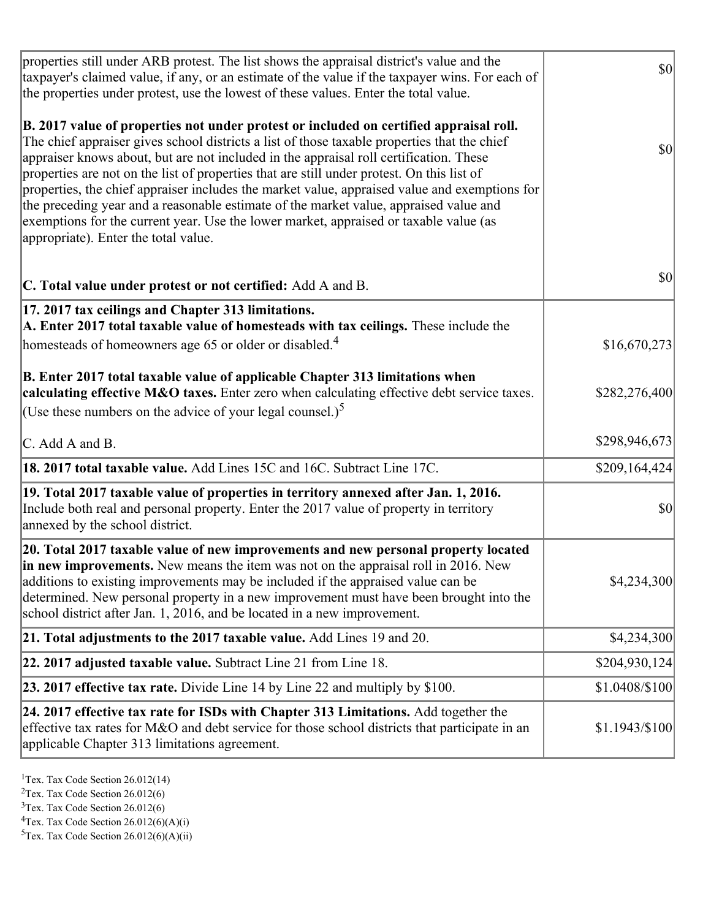| properties still under ARB protest. The list shows the appraisal district's value and the<br>taxpayer's claimed value, if any, or an estimate of the value if the taxpayer wins. For each of<br>the properties under protest, use the lowest of these values. Enter the total value.                                                                                                                                                                                                                                                                                                                                                                                                                      | $ 10\rangle$   |
|-----------------------------------------------------------------------------------------------------------------------------------------------------------------------------------------------------------------------------------------------------------------------------------------------------------------------------------------------------------------------------------------------------------------------------------------------------------------------------------------------------------------------------------------------------------------------------------------------------------------------------------------------------------------------------------------------------------|----------------|
| B. 2017 value of properties not under protest or included on certified appraisal roll.<br>The chief appraiser gives school districts a list of those taxable properties that the chief<br>appraiser knows about, but are not included in the appraisal roll certification. These<br>properties are not on the list of properties that are still under protest. On this list of<br>properties, the chief appraiser includes the market value, appraised value and exemptions for<br>the preceding year and a reasonable estimate of the market value, appraised value and<br>exemptions for the current year. Use the lower market, appraised or taxable value (as<br>appropriate). Enter the total value. | \$0            |
| C. Total value under protest or not certified: Add A and B.                                                                                                                                                                                                                                                                                                                                                                                                                                                                                                                                                                                                                                               | \$0            |
| 17. 2017 tax ceilings and Chapter 313 limitations.<br>A. Enter 2017 total taxable value of homesteads with tax ceilings. These include the<br>homesteads of homeowners age 65 or older or disabled. <sup>4</sup>                                                                                                                                                                                                                                                                                                                                                                                                                                                                                          | \$16,670,273   |
| B. Enter 2017 total taxable value of applicable Chapter 313 limitations when<br>calculating effective M&O taxes. Enter zero when calculating effective debt service taxes.<br>(Use these numbers on the advice of your legal counsel.) <sup>5</sup>                                                                                                                                                                                                                                                                                                                                                                                                                                                       | \$282,276,400  |
| C. Add A and B.                                                                                                                                                                                                                                                                                                                                                                                                                                                                                                                                                                                                                                                                                           | \$298,946,673  |
| 18. 2017 total taxable value. Add Lines 15C and 16C. Subtract Line 17C.                                                                                                                                                                                                                                                                                                                                                                                                                                                                                                                                                                                                                                   | \$209,164,424  |
| 19. Total 2017 taxable value of properties in territory annexed after Jan. 1, 2016.<br>Include both real and personal property. Enter the 2017 value of property in territory<br>annexed by the school district.                                                                                                                                                                                                                                                                                                                                                                                                                                                                                          | \$0            |
| 20. Total 2017 taxable value of new improvements and new personal property located<br>in new improvements. New means the item was not on the appraisal roll in 2016. New<br>additions to existing improvements may be included if the appraised value can be<br>determined. New personal property in a new improvement must have been brought into the<br>school district after Jan. 1, 2016, and be located in a new improvement.                                                                                                                                                                                                                                                                        | \$4,234,300    |
| 21. Total adjustments to the 2017 taxable value. Add Lines 19 and 20.                                                                                                                                                                                                                                                                                                                                                                                                                                                                                                                                                                                                                                     | \$4,234,300    |
| $ 22.2017$ adjusted taxable value. Subtract Line 21 from Line 18.                                                                                                                                                                                                                                                                                                                                                                                                                                                                                                                                                                                                                                         | \$204,930,124  |
| <b>23. 2017 effective tax rate.</b> Divide Line 14 by Line 22 and multiply by \$100.                                                                                                                                                                                                                                                                                                                                                                                                                                                                                                                                                                                                                      | \$1.0408/\$100 |
| 24. 2017 effective tax rate for ISDs with Chapter 313 Limitations. Add together the<br>effective tax rates for M&O and debt service for those school districts that participate in an<br>applicable Chapter 313 limitations agreement.                                                                                                                                                                                                                                                                                                                                                                                                                                                                    | \$1.1943/\$100 |

<sup>1</sup>Tex. Tax Code Section  $26.012(14)$ 

<sup>2</sup>Tex. Tax Code Section 26.012(6)

 $3$ Tex. Tax Code Section 26.012(6)

 ${}^{4}$ Tex. Tax Code Section 26.012(6)(A)(i)

 ${}^{5}$ Tex. Tax Code Section 26.012(6)(A)(ii)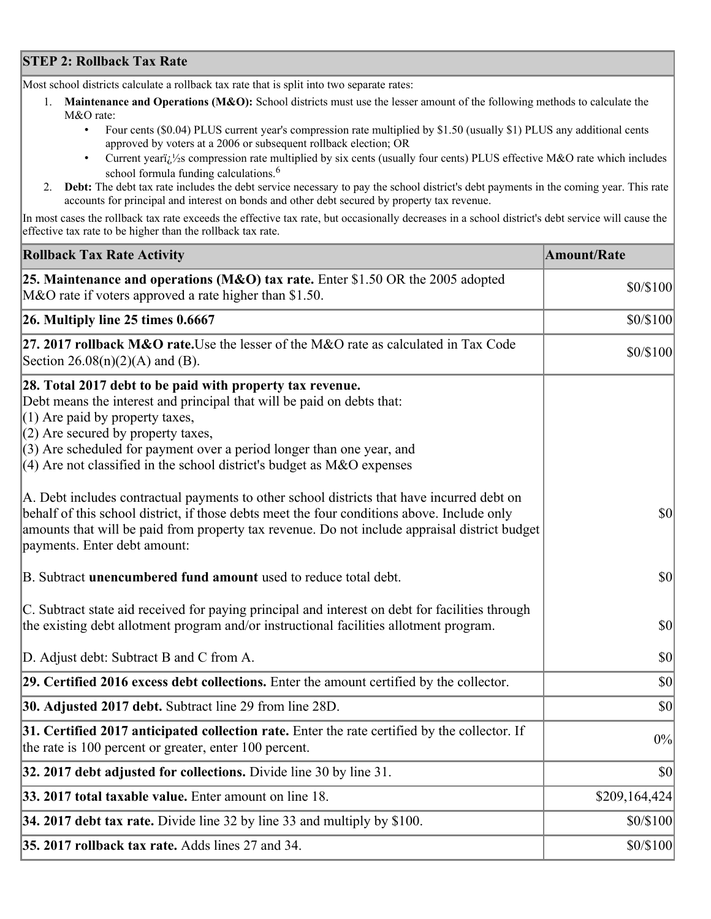## **STEP 2: Rollback Tax Rate**

Most school districts calculate a rollback tax rate that is split into two separate rates:

- 1. **Maintenance and Operations (M&O):** School districts must use the lesser amount of the following methods to calculate the M&O rate:
	- Four cents (\$0.04) PLUS current year's compression rate multiplied by \$1.50 (usually \$1) PLUS any additional cents approved by voters at a 2006 or subsequent rollback election; OR
	- Current year $i/\frac{1}{2}$ s compression rate multiplied by six cents (usually four cents) PLUS effective M&O rate which includes school formula funding calculations.<sup>6</sup>
- 2. **Debt:** The debt tax rate includes the debt service necessary to pay the school district's debt payments in the coming year. This rate accounts for principal and interest on bonds and other debt secured by property tax revenue.

In most cases the rollback tax rate exceeds the effective tax rate, but occasionally decreases in a school district's debt service will cause the effective tax rate to be higher than the rollback tax rate.

| <b>Rollback Tax Rate Activity</b>                                                                                                                                                                                                                                                                                                                                       | <b>Amount/Rate</b> |
|-------------------------------------------------------------------------------------------------------------------------------------------------------------------------------------------------------------------------------------------------------------------------------------------------------------------------------------------------------------------------|--------------------|
| <b>25. Maintenance and operations (M&amp;O) tax rate.</b> Enter \$1.50 OR the 2005 adopted<br>M&O rate if voters approved a rate higher than \$1.50.                                                                                                                                                                                                                    | \$0/\$100          |
| $26.$ Multiply line 25 times $0.6667$                                                                                                                                                                                                                                                                                                                                   | \$0/\$100          |
| 27. 2017 rollback M&O rate. Use the lesser of the M&O rate as calculated in Tax Code<br>Section $26.08(n)(2)(A)$ and (B).                                                                                                                                                                                                                                               | \$0/\$100          |
| 28. Total 2017 debt to be paid with property tax revenue.<br>Debt means the interest and principal that will be paid on debts that:<br>$(1)$ Are paid by property taxes,<br>$(2)$ Are secured by property taxes,<br>$(3)$ Are scheduled for payment over a period longer than one year, and<br>$(4)$ Are not classified in the school district's budget as M&O expenses |                    |
| A. Debt includes contractual payments to other school districts that have incurred debt on<br>behalf of this school district, if those debts meet the four conditions above. Include only<br>amounts that will be paid from property tax revenue. Do not include appraisal district budget<br>payments. Enter debt amount:                                              | $ 10\rangle$       |
| B. Subtract unencumbered fund amount used to reduce total debt.                                                                                                                                                                                                                                                                                                         | \$0                |
| C. Subtract state aid received for paying principal and interest on debt for facilities through<br>the existing debt allotment program and/or instructional facilities allotment program.                                                                                                                                                                               | $ 10\rangle$       |
| D. Adjust debt: Subtract B and C from A.                                                                                                                                                                                                                                                                                                                                | $ 10\rangle$       |
| 29. Certified 2016 excess debt collections. Enter the amount certified by the collector.                                                                                                                                                                                                                                                                                | $ 10\rangle$       |
| <b>30. Adjusted 2017 debt.</b> Subtract line 29 from line 28D.                                                                                                                                                                                                                                                                                                          | $ 10\rangle$       |
| 31. Certified 2017 anticipated collection rate. Enter the rate certified by the collector. If<br>the rate is 100 percent or greater, enter 100 percent.                                                                                                                                                                                                                 | 0%                 |
| 32. 2017 debt adjusted for collections. Divide line 30 by line 31.                                                                                                                                                                                                                                                                                                      | $ 10\rangle$       |
| 33. 2017 total taxable value. Enter amount on line 18.                                                                                                                                                                                                                                                                                                                  | \$209,164,424      |
| 34. 2017 debt tax rate. Divide line 32 by line 33 and multiply by $$100$ .                                                                                                                                                                                                                                                                                              | \$0/\$100          |
| 35. 2017 rollback tax rate. Adds lines 27 and 34.                                                                                                                                                                                                                                                                                                                       | \$0/\$100          |